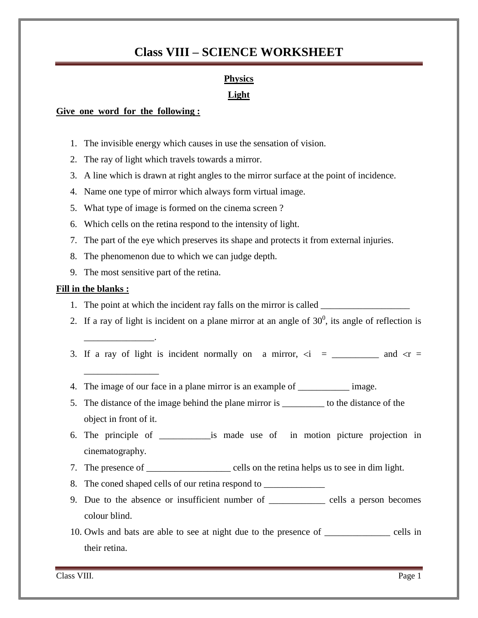### **Physics**

### **Light**

### **Give one word for the following :**

- 1. The invisible energy which causes in use the sensation of vision.
- 2. The ray of light which travels towards a mirror.
- 3. A line which is drawn at right angles to the mirror surface at the point of incidence.
- 4. Name one type of mirror which always form virtual image.
- 5. What type of image is formed on the cinema screen ?
- 6. Which cells on the retina respond to the intensity of light.
- 7. The part of the eye which preserves its shape and protects it from external injuries.
- 8. The phenomenon due to which we can judge depth.
- 9. The most sensitive part of the retina.

### **Fill in the blanks :**

\_\_\_\_\_\_\_\_\_\_\_\_\_\_\_.

\_\_\_\_\_\_\_\_\_\_\_\_\_\_\_\_

- 1. The point at which the incident ray falls on the mirror is called \_\_\_\_\_\_\_\_\_\_\_
- 2. If a ray of light is incident on a plane mirror at an angle of  $30^0$ , its angle of reflection is
- 3. If a ray of light is incident normally on a mirror,  $\overline{zi}$  = \_\_\_\_\_\_\_\_ and  $\overline{zi}$  =
- 4. The image of our face in a plane mirror is an example of \_\_\_\_\_\_\_\_\_\_\_\_ image.
- 5. The distance of the image behind the plane mirror is \_\_\_\_\_\_\_\_\_ to the distance of the object in front of it.
- 6. The principle of \_\_\_\_\_\_\_\_\_\_\_is made use of in motion picture projection in cinematography.
- 7. The presence of \_\_\_\_\_\_\_\_\_\_\_\_\_\_\_\_\_\_\_\_\_\_ cells on the retina helps us to see in dim light.
- 8. The coned shaped cells of our retina respond to
- 9. Due to the absence or insufficient number of \_\_\_\_\_\_\_\_\_\_\_\_ cells a person becomes colour blind.
- 10. Owls and bats are able to see at night due to the presence of \_\_\_\_\_\_\_\_\_\_\_\_\_\_ cells in their retina.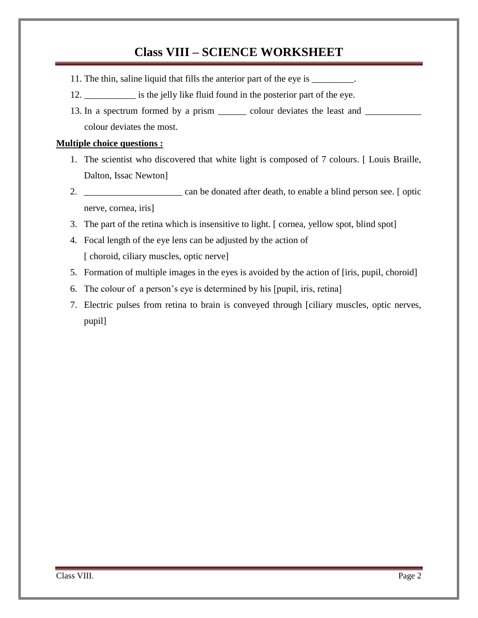- 11. The thin, saline liquid that fills the anterior part of the eye is \_\_\_\_\_\_\_\_\_.
- 12. \_\_\_\_\_\_\_\_\_\_\_ is the jelly like fluid found in the posterior part of the eye.
- 13. In a spectrum formed by a prism \_\_\_\_\_\_\_ colour deviates the least and \_\_\_\_\_\_\_ colour deviates the most.

### **Multiple choice questions :**

- 1. The scientist who discovered that white light is composed of 7 colours. [ Louis Braille, Dalton, Issac Newton]
- 2. \_\_\_\_\_\_\_\_\_\_\_\_\_\_\_\_\_\_\_\_\_ can be donated after death, to enable a blind person see. [ optic nerve, cornea, iris]
- 3. The part of the retina which is insensitive to light. [ cornea, yellow spot, blind spot]
- 4. Focal length of the eye lens can be adjusted by the action of [ choroid, ciliary muscles, optic nerve]
- 5. Formation of multiple images in the eyes is avoided by the action of [iris, pupil, choroid]
- 6. The colour of a person"s eye is determined by his [pupil, iris, retina]
- 7. Electric pulses from retina to brain is conveyed through [ciliary muscles, optic nerves, pupil]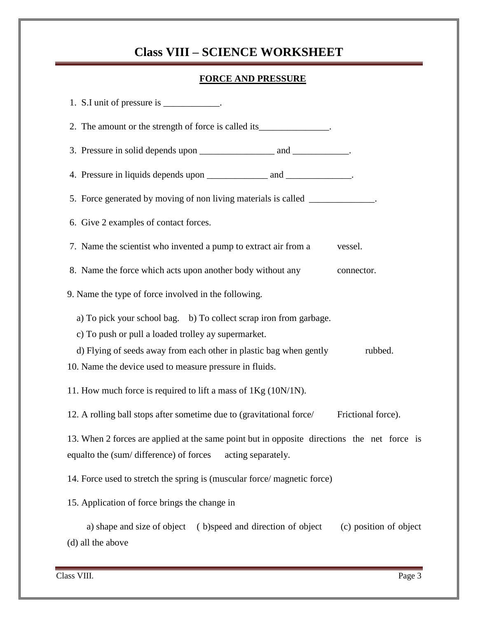### **FORCE AND PRESSURE**

| 1. S.I unit of pressure is ____________.                                                                                                                                                                   |
|------------------------------------------------------------------------------------------------------------------------------------------------------------------------------------------------------------|
| 2. The amount or the strength of force is called its_______________.                                                                                                                                       |
|                                                                                                                                                                                                            |
|                                                                                                                                                                                                            |
| 5. Force generated by moving of non living materials is called ____________.                                                                                                                               |
| 6. Give 2 examples of contact forces.                                                                                                                                                                      |
| 7. Name the scientist who invented a pump to extract air from a<br>vessel.                                                                                                                                 |
| 8. Name the force which acts upon another body without any<br>connector.                                                                                                                                   |
| 9. Name the type of force involved in the following.                                                                                                                                                       |
| a) To pick your school bag. b) To collect scrap iron from garbage.<br>c) To push or pull a loaded trolley ay supermarket.<br>d) Flying of seeds away from each other in plastic bag when gently<br>rubbed. |
| 10. Name the device used to measure pressure in fluids.                                                                                                                                                    |
| 11. How much force is required to lift a mass of $1Kg(10N/1N)$ .                                                                                                                                           |
| 12. A rolling ball stops after sometime due to (gravitational force/<br>Frictional force).                                                                                                                 |
| 13. When 2 forces are applied at the same point but in opposite directions the net force is<br>equalto the (sum/difference) of forces acting separately.                                                   |
| 14. Force used to stretch the spring is (muscular force/magnetic force)                                                                                                                                    |
| 15. Application of force brings the change in                                                                                                                                                              |
| a) shape and size of object (b)speed and direction of object<br>(c) position of object<br>(d) all the above                                                                                                |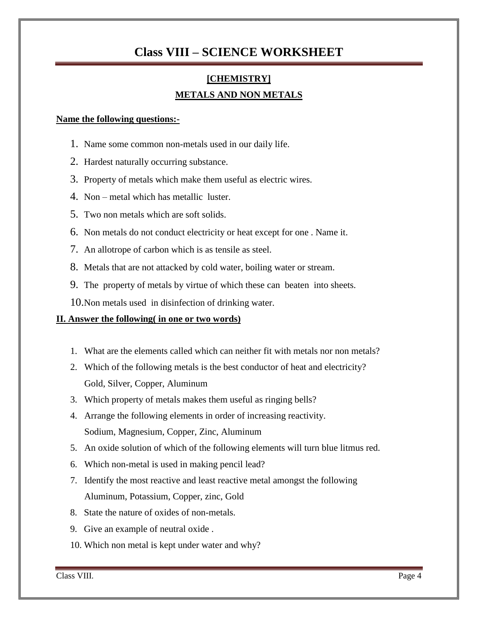# **[CHEMISTRY] METALS AND NON METALS**

#### **Name the following questions:-**

- 1. Name some common non-metals used in our daily life.
- 2. Hardest naturally occurring substance.
- 3. Property of metals which make them useful as electric wires.
- 4. Non metal which has metallic luster.
- 5. Two non metals which are soft solids.
- 6. Non metals do not conduct electricity or heat except for one . Name it.
- 7. An allotrope of carbon which is as tensile as steel.
- 8. Metals that are not attacked by cold water, boiling water or stream.
- 9. The property of metals by virtue of which these can beaten into sheets.
- 10.Non metals used in disinfection of drinking water.

### **II. Answer the following( in one or two words)**

- 1. What are the elements called which can neither fit with metals nor non metals?
- 2. Which of the following metals is the best conductor of heat and electricity? Gold, Silver, Copper, Aluminum
- 3. Which property of metals makes them useful as ringing bells?
- 4. Arrange the following elements in order of increasing reactivity. Sodium, Magnesium, Copper, Zinc, Aluminum
- 5. An oxide solution of which of the following elements will turn blue litmus red.
- 6. Which non-metal is used in making pencil lead?
- 7. Identify the most reactive and least reactive metal amongst the following Aluminum, Potassium, Copper, zinc, Gold
- 8. State the nature of oxides of non-metals.
- 9. Give an example of neutral oxide .
- 10. Which non metal is kept under water and why?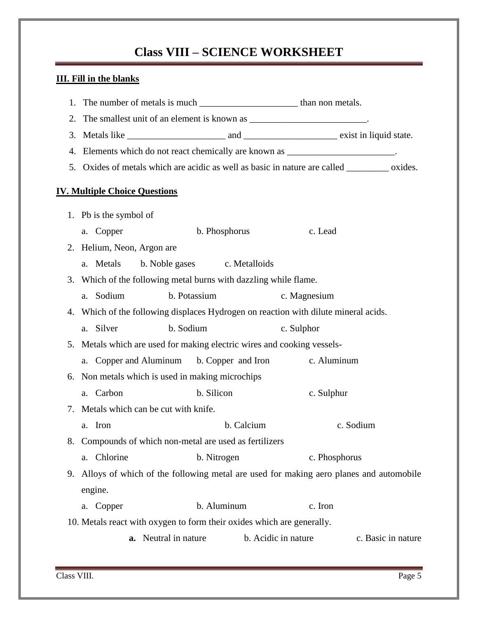# **III. Fill in the blanks**

| 1.                                                                     |                                                                                |                                                                                               |            |                     |                    |  |  |
|------------------------------------------------------------------------|--------------------------------------------------------------------------------|-----------------------------------------------------------------------------------------------|------------|---------------------|--------------------|--|--|
| 2.                                                                     |                                                                                |                                                                                               |            |                     |                    |  |  |
| 3.                                                                     |                                                                                |                                                                                               |            |                     |                    |  |  |
|                                                                        | 4. Elements which do not react chemically are known as ______________________. |                                                                                               |            |                     |                    |  |  |
|                                                                        |                                                                                | 5. Oxides of metals which are acidic as well as basic in nature are called __________ oxides. |            |                     |                    |  |  |
|                                                                        | <b>IV. Multiple Choice Questions</b>                                           |                                                                                               |            |                     |                    |  |  |
|                                                                        |                                                                                |                                                                                               |            |                     |                    |  |  |
|                                                                        | 1. Pb is the symbol of                                                         |                                                                                               |            |                     |                    |  |  |
|                                                                        | a. Copper                                                                      | b. Phosphorus                                                                                 |            | c. Lead             |                    |  |  |
|                                                                        | 2. Helium, Neon, Argon are                                                     |                                                                                               |            |                     |                    |  |  |
|                                                                        | a. Metals                                                                      | b. Noble gases c. Metalloids                                                                  |            |                     |                    |  |  |
|                                                                        |                                                                                | 3. Which of the following metal burns with dazzling while flame.                              |            |                     |                    |  |  |
|                                                                        | a. Sodium                                                                      | b. Potassium                                                                                  |            | c. Magnesium        |                    |  |  |
|                                                                        |                                                                                | 4. Which of the following displaces Hydrogen on reaction with dilute mineral acids.           |            |                     |                    |  |  |
|                                                                        | a. Silver                                                                      | b. Sodium                                                                                     |            | c. Sulphor          |                    |  |  |
|                                                                        |                                                                                | 5. Metals which are used for making electric wires and cooking vessels-                       |            |                     |                    |  |  |
|                                                                        |                                                                                | a. Copper and Aluminum b. Copper and Iron                                                     |            | c. Aluminum         |                    |  |  |
| 6.                                                                     |                                                                                | Non metals which is used in making microchips                                                 |            |                     |                    |  |  |
|                                                                        | a. Carbon                                                                      | b. Silicon                                                                                    |            | c. Sulphur          |                    |  |  |
|                                                                        | 7. Metals which can be cut with knife.                                         |                                                                                               |            |                     |                    |  |  |
|                                                                        | a. Iron                                                                        |                                                                                               | b. Calcium | c. Sodium           |                    |  |  |
|                                                                        |                                                                                | 8. Compounds of which non-metal are used as fertilizers                                       |            |                     |                    |  |  |
|                                                                        | a. Chlorine                                                                    | b. Nitrogen                                                                                   |            | c. Phosphorus       |                    |  |  |
| 9.                                                                     |                                                                                | Alloys of which of the following metal are used for making aero planes and automobile         |            |                     |                    |  |  |
|                                                                        | engine.                                                                        |                                                                                               |            |                     |                    |  |  |
|                                                                        | a. Copper                                                                      | b. Aluminum                                                                                   |            | c. Iron             |                    |  |  |
| 10. Metals react with oxygen to form their oxides which are generally. |                                                                                |                                                                                               |            |                     |                    |  |  |
|                                                                        |                                                                                | a. Neutral in nature                                                                          |            | b. Acidic in nature | c. Basic in nature |  |  |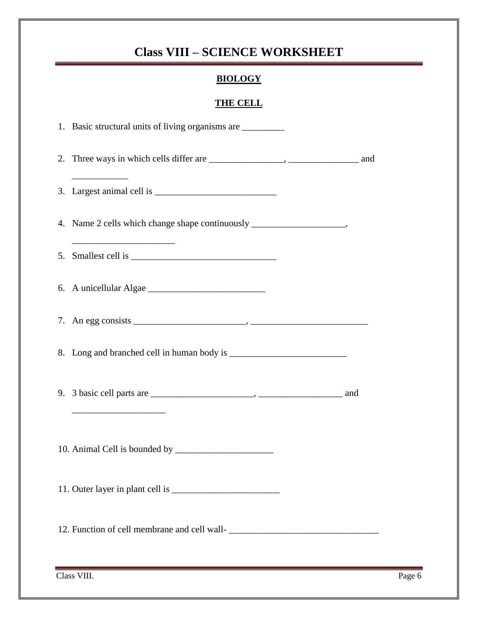### **BIOLOGY**

### **THE CELL**

| 1. Basic structural units of living organisms are _________                                                                           |  |
|---------------------------------------------------------------------------------------------------------------------------------------|--|
|                                                                                                                                       |  |
|                                                                                                                                       |  |
| 4. Name 2 cells which change shape continuously ________________________________<br><u> 1989 - Johann Barbara, martxa alemaniar a</u> |  |
|                                                                                                                                       |  |
|                                                                                                                                       |  |
|                                                                                                                                       |  |
|                                                                                                                                       |  |
| the control of the control of the control of the                                                                                      |  |
|                                                                                                                                       |  |
|                                                                                                                                       |  |
|                                                                                                                                       |  |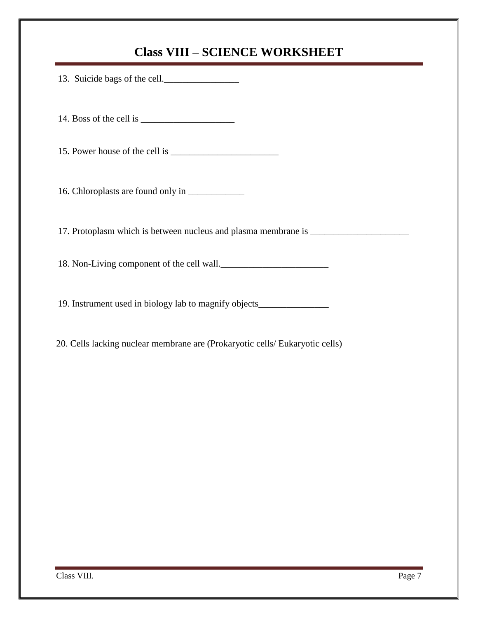| 13. Suicide bags of the cell.                                                    |
|----------------------------------------------------------------------------------|
|                                                                                  |
|                                                                                  |
|                                                                                  |
| 17. Protoplasm which is between nucleus and plasma membrane is _________________ |
| 18. Non-Living component of the cell wall.                                       |
| 19. Instrument used in biology lab to magnify objects___________________________ |

20. Cells lacking nuclear membrane are (Prokaryotic cells/ Eukaryotic cells)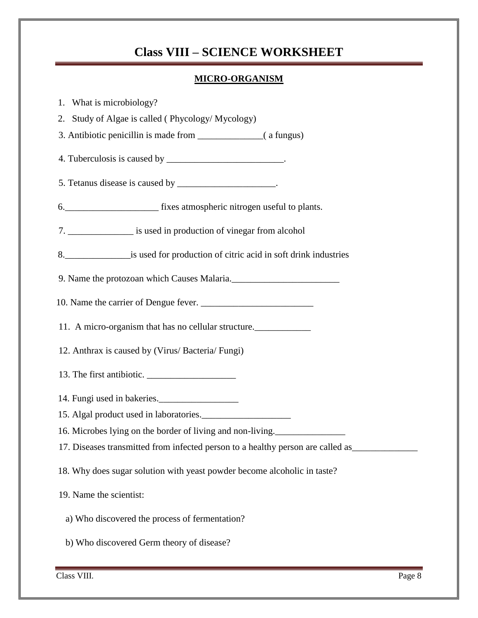### **MICRO-ORGANISM**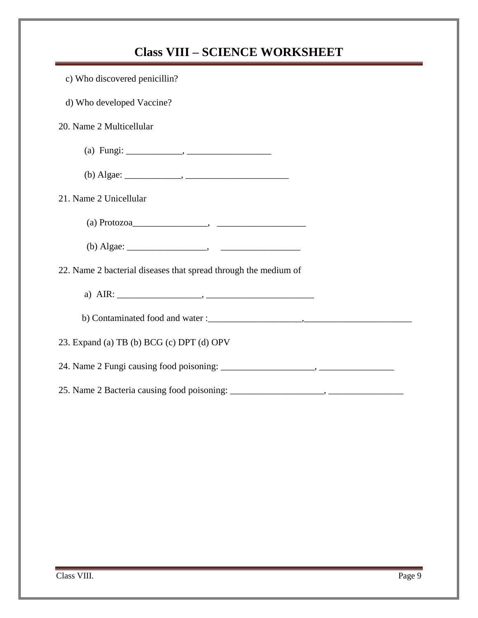| <b>Class VIII - SCIENCE WORKSHEET</b>                           |  |  |  |
|-----------------------------------------------------------------|--|--|--|
| c) Who discovered penicillin?                                   |  |  |  |
| d) Who developed Vaccine?                                       |  |  |  |
| 20. Name 2 Multicellular                                        |  |  |  |
|                                                                 |  |  |  |
|                                                                 |  |  |  |
| 21. Name 2 Unicellular                                          |  |  |  |
|                                                                 |  |  |  |
|                                                                 |  |  |  |
| 22. Name 2 bacterial diseases that spread through the medium of |  |  |  |
|                                                                 |  |  |  |
|                                                                 |  |  |  |
| 23. Expand (a) TB (b) BCG (c) DPT (d) OPV                       |  |  |  |
|                                                                 |  |  |  |
|                                                                 |  |  |  |
|                                                                 |  |  |  |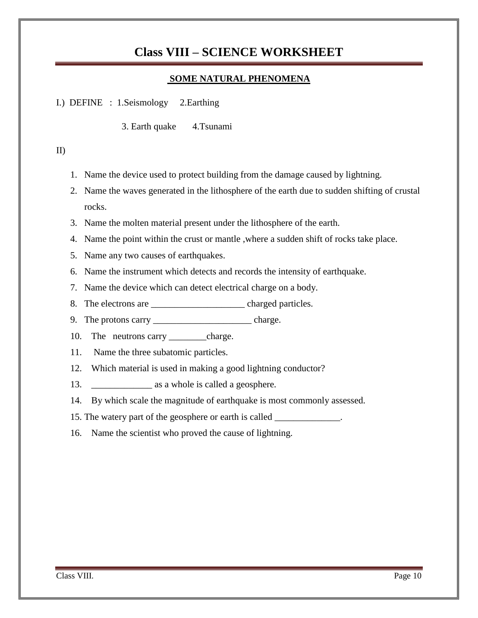### **SOME NATURAL PHENOMENA**

I.) DEFINE : 1.Seismology 2.Earthing

3. Earth quake 4.Tsunami

#### II)

- 1. Name the device used to protect building from the damage caused by lightning.
- 2. Name the waves generated in the lithosphere of the earth due to sudden shifting of crustal rocks.
- 3. Name the molten material present under the lithosphere of the earth.
- 4. Name the point within the crust or mantle ,where a sudden shift of rocks take place.
- 5. Name any two causes of earthquakes.
- 6. Name the instrument which detects and records the intensity of earthquake.
- 7. Name the device which can detect electrical charge on a body.
- 8. The electrons are <u>\_\_\_\_\_\_\_\_\_\_\_\_\_\_\_\_\_\_\_</u> charged particles.
- 9. The protons carry \_\_\_\_\_\_\_\_\_\_\_\_\_\_\_\_\_\_\_\_\_\_\_\_\_\_\_\_\_\_\_\_\_ charge.
- 10. The neutrons carry \_\_\_\_\_\_\_\_\_charge.
- 11. Name the three subatomic particles.
- 12. Which material is used in making a good lightning conductor?
- 13. \_\_\_\_\_\_\_\_\_\_\_\_\_ as a whole is called a geosphere.
- 14. By which scale the magnitude of earthquake is most commonly assessed.
- 15. The watery part of the geosphere or earth is called \_\_\_\_\_\_\_\_\_\_\_\_\_\_.
- 16. Name the scientist who proved the cause of lightning.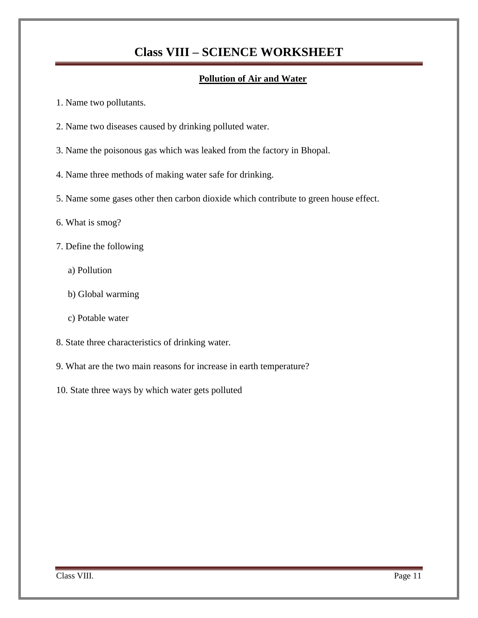### **Pollution of Air and Water**

- 1. Name two pollutants.
- 2. Name two diseases caused by drinking polluted water.
- 3. Name the poisonous gas which was leaked from the factory in Bhopal.
- 4. Name three methods of making water safe for drinking.
- 5. Name some gases other then carbon dioxide which contribute to green house effect.
- 6. What is smog?
- 7. Define the following
	- a) Pollution
	- b) Global warming
	- c) Potable water
- 8. State three characteristics of drinking water.
- 9. What are the two main reasons for increase in earth temperature?
- 10. State three ways by which water gets polluted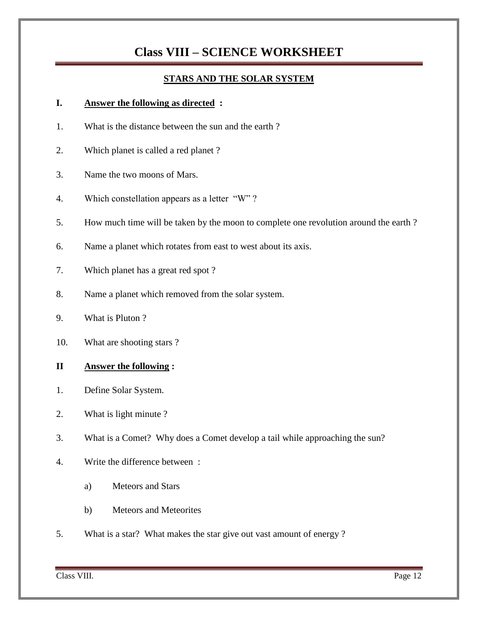### **STARS AND THE SOLAR SYSTEM**

### **I. Answer the following as directed :**

- 1. What is the distance between the sun and the earth ?
- 2. Which planet is called a red planet ?
- 3. Name the two moons of Mars.
- 4. Which constellation appears as a letter "W" ?
- 5. How much time will be taken by the moon to complete one revolution around the earth ?
- 6. Name a planet which rotates from east to west about its axis.
- 7. Which planet has a great red spot ?
- 8. Name a planet which removed from the solar system.
- 9. What is Pluton ?
- 10. What are shooting stars ?

### **II Answer the following :**

- 1. Define Solar System.
- 2. What is light minute ?
- 3. What is a Comet? Why does a Comet develop a tail while approaching the sun?
- 4. Write the difference between :
	- a) Meteors and Stars
	- b) Meteors and Meteorites
- 5. What is a star? What makes the star give out vast amount of energy ?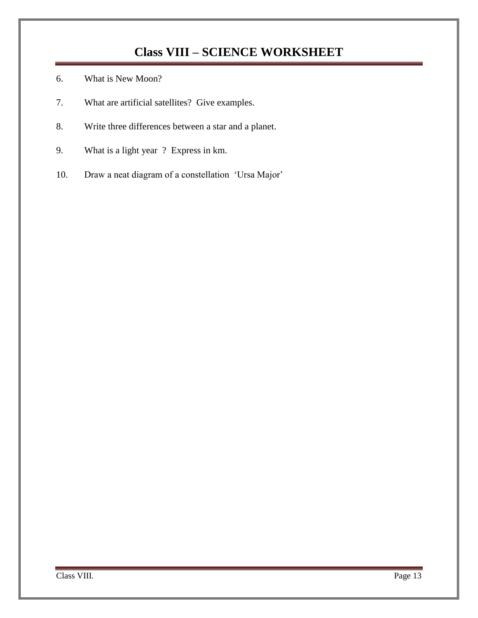- 6. What is New Moon?
- 7. What are artificial satellites? Give examples.
- 8. Write three differences between a star and a planet.
- 9. What is a light year ? Express in km.
- 10. Draw a neat diagram of a constellation "Ursa Major"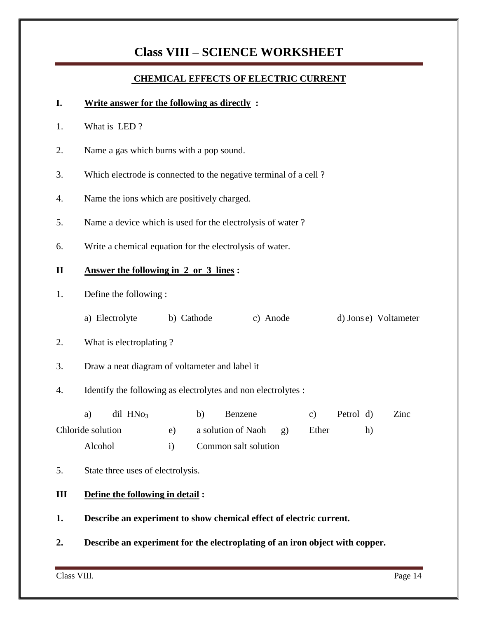### **CHEMICAL EFFECTS OF ELECTRIC CURRENT**

### **I. Write answer for the following as directly :**

- 1. What is LED ?
- 2. Name a gas which burns with a pop sound.
- 3. Which electrode is connected to the negative terminal of a cell ?
- 4. Name the ions which are positively charged.
- 5. Name a device which is used for the electrolysis of water ?
- 6. Write a chemical equation for the electrolysis of water.

### **II Answer the following in 2 or 3 lines :**

- 1. Define the following :
	- a) Electrolyte b) Cathode c) Anode d) Jons e) Voltameter
- 2. What is electroplating ?
- 3. Draw a neat diagram of voltameter and label it
- 4. Identify the following as electrolytes and non electrolytes :

| $\mathrm{dil}$ HN $\mathrm{O}_3$<br>a) | Benzene               |       | Petrol d) | Zinc |
|----------------------------------------|-----------------------|-------|-----------|------|
| Chloride solution                      | a solution of Naoh g) | Ether | $\hbar$   |      |
| Alcohol                                | Common salt solution  |       |           |      |

5. State three uses of electrolysis.

### **III Define the following in detail :**

- **1. Describe an experiment to show chemical effect of electric current.**
- **2. Describe an experiment for the electroplating of an iron object with copper.**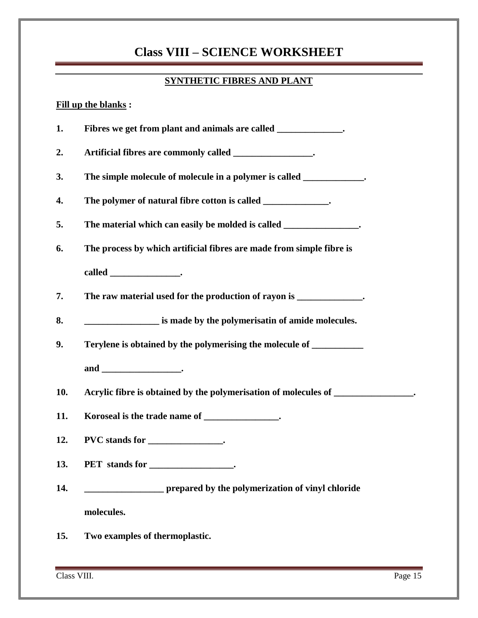### **SYNTHETIC FIBRES AND PLANT**

#### **Fill up the blanks :**

**1. Fibres we get from plant and animals are called \_\_\_\_\_\_\_\_\_\_\_\_\_\_. 2. Artificial fibres are commonly called \_\_\_\_\_\_\_\_\_\_\_\_\_\_\_\_\_. 3. The simple molecule of molecule in a polymer is called \_\_\_\_\_\_\_\_\_\_\_\_\_. 4. The polymer of natural fibre cotton is called \_\_\_\_\_\_\_\_\_\_\_\_\_\_. 5. The material which can easily be molded is called \_\_\_\_\_\_\_\_\_\_\_\_\_\_\_\_. 6. The process by which artificial fibres are made from simple fibre is called \_\_\_\_\_\_\_\_\_\_\_\_\_\_\_. 7. The raw material used for the production of rayon is \_\_\_\_\_\_\_\_\_\_\_\_\_\_. 8. \_\_\_\_\_\_\_\_\_\_\_\_\_\_\_\_ is made by the polymerisatin of amide molecules. 9. Terylene is obtained by the polymerising the molecule of \_\_\_\_\_\_\_\_\_\_\_ and \_\_\_\_\_\_\_\_\_\_\_\_\_\_\_\_\_. 10. Acrylic fibre is obtained by the polymerisation of molecules of \_\_\_\_\_\_\_\_\_\_\_\_\_\_\_\_\_. 11. Koroseal is the trade name of \_\_\_\_\_\_\_\_\_\_\_\_\_\_\_\_. 12. PVC stands for \_\_\_\_\_\_\_\_\_\_\_\_\_\_\_\_. 13. PET stands for \_\_\_\_\_\_\_\_\_\_\_\_\_\_\_\_\_\_. 14. \_\_\_\_\_\_\_\_\_\_\_\_\_\_\_\_\_ prepared by the polymerization of vinyl chloride**

**molecules.**

**15. Two examples of thermoplastic.**

Class VIII. Page 15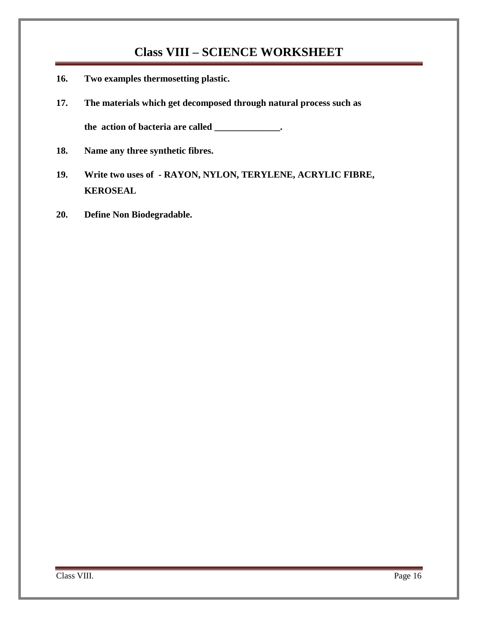- **16. Two examples thermosetting plastic.**
- **17. The materials which get decomposed through natural process such as the action of bacteria are called \_\_\_\_\_\_\_\_\_\_\_\_\_\_.**
- **18. Name any three synthetic fibres.**
- **19. Write two uses of - RAYON, NYLON, TERYLENE, ACRYLIC FIBRE, KEROSEAL**
- **20. Define Non Biodegradable.**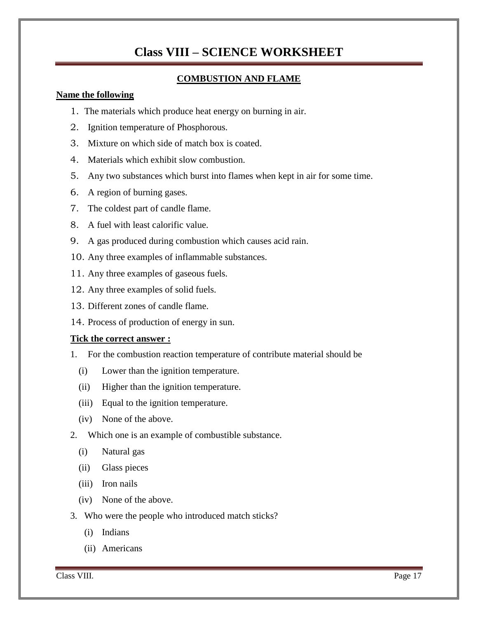### **COMBUSTION AND FLAME**

#### **Name the following**

- 1. The materials which produce heat energy on burning in air.
- 2. Ignition temperature of Phosphorous.
- 3. Mixture on which side of match box is coated.
- 4. Materials which exhibit slow combustion.
- 5. Any two substances which burst into flames when kept in air for some time.
- 6. A region of burning gases.
- 7. The coldest part of candle flame.
- 8. A fuel with least calorific value.
- 9. A gas produced during combustion which causes acid rain.
- 10. Any three examples of inflammable substances.
- 11. Any three examples of gaseous fuels.
- 12. Any three examples of solid fuels.
- 13. Different zones of candle flame.
- 14. Process of production of energy in sun.

### **Tick the correct answer :**

- 1. For the combustion reaction temperature of contribute material should be
	- (i) Lower than the ignition temperature.
	- (ii) Higher than the ignition temperature.
	- (iii) Equal to the ignition temperature.
	- (iv) None of the above.

### 2. Which one is an example of combustible substance.

- (i) Natural gas
- (ii) Glass pieces
- (iii) Iron nails
- (iv) None of the above.
- 3. Who were the people who introduced match sticks?
	- (i) Indians
	- (ii) Americans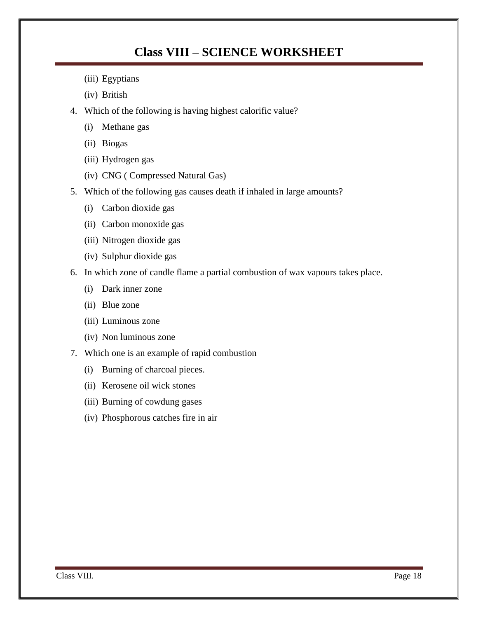- (iii) Egyptians
- (iv) British
- 4. Which of the following is having highest calorific value?
	- (i) Methane gas
	- (ii) Biogas
	- (iii) Hydrogen gas
	- (iv) CNG ( Compressed Natural Gas)
- 5. Which of the following gas causes death if inhaled in large amounts?
	- (i) Carbon dioxide gas
	- (ii) Carbon monoxide gas
	- (iii) Nitrogen dioxide gas
	- (iv) Sulphur dioxide gas
- 6. In which zone of candle flame a partial combustion of wax vapours takes place.
	- (i) Dark inner zone
	- (ii) Blue zone
	- (iii) Luminous zone
	- (iv) Non luminous zone
- 7. Which one is an example of rapid combustion
	- (i) Burning of charcoal pieces.
	- (ii) Kerosene oil wick stones
	- (iii) Burning of cowdung gases
	- (iv) Phosphorous catches fire in air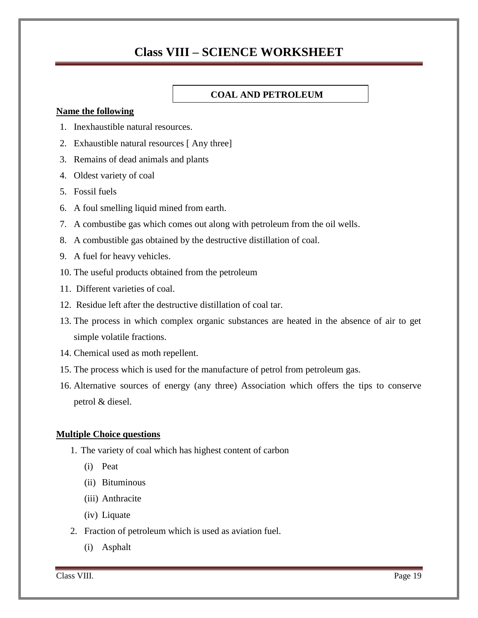#### **COAL AND PETROLEUM**

#### **Name the following**

- 1. Inexhaustible natural resources.
- 2. Exhaustible natural resources [ Any three]
- 3. Remains of dead animals and plants
- 4. Oldest variety of coal
- 5. Fossil fuels
- 6. A foul smelling liquid mined from earth.
- 7. A combustibe gas which comes out along with petroleum from the oil wells.
- 8. A combustible gas obtained by the destructive distillation of coal.
- 9. A fuel for heavy vehicles.
- 10. The useful products obtained from the petroleum
- 11. Different varieties of coal.
- 12. Residue left after the destructive distillation of coal tar.
- 13. The process in which complex organic substances are heated in the absence of air to get simple volatile fractions.
- 14. Chemical used as moth repellent.
- 15. The process which is used for the manufacture of petrol from petroleum gas.
- 16. Alternative sources of energy (any three) Association which offers the tips to conserve petrol & diesel.

#### **Multiple Choice questions**

- 1. The variety of coal which has highest content of carbon
	- (i) Peat
	- (ii) Bituminous
	- (iii) Anthracite
	- (iv) Liquate
- 2. Fraction of petroleum which is used as aviation fuel.
	- (i) Asphalt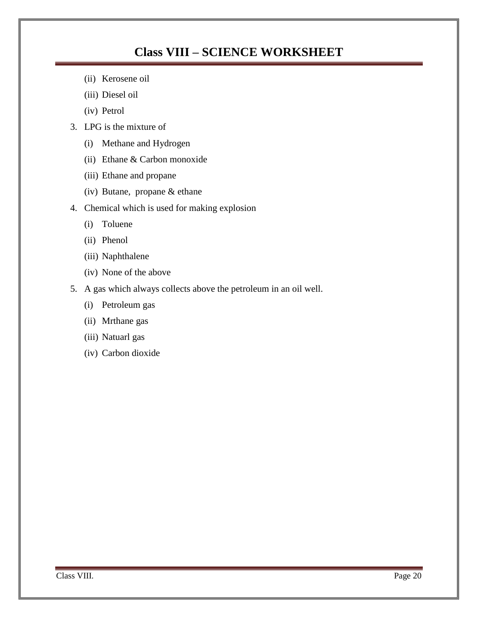- (ii) Kerosene oil
- (iii) Diesel oil
- (iv) Petrol
- 3. LPG is the mixture of
	- (i) Methane and Hydrogen
	- (ii) Ethane & Carbon monoxide
	- (iii) Ethane and propane
	- (iv) Butane, propane & ethane
- 4. Chemical which is used for making explosion
	- (i) Toluene
	- (ii) Phenol
	- (iii) Naphthalene
	- (iv) None of the above
- 5. A gas which always collects above the petroleum in an oil well.
	- (i) Petroleum gas
	- (ii) Mrthane gas
	- (iii) Natuarl gas
	- (iv) Carbon dioxide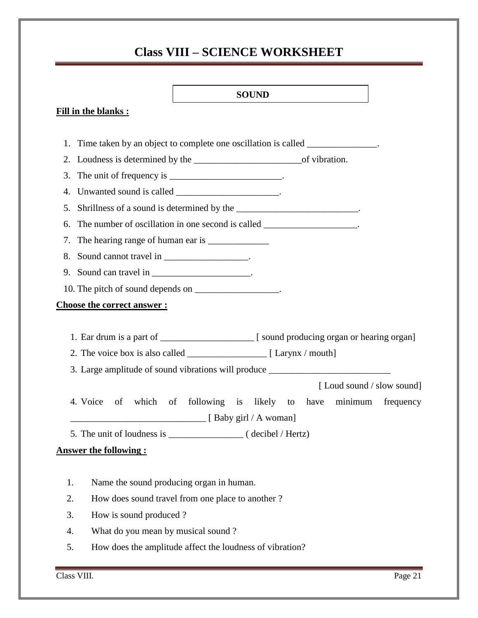# **SOUND Fill in the blanks :** 1. Time taken by an object to complete one oscillation is called \_\_\_\_\_\_\_\_\_\_\_\_\_\_. 2. Loudness is determined by the \_\_\_\_\_\_\_\_\_\_\_\_\_\_\_\_\_\_\_\_\_\_\_of vibration. 3. The unit of frequency is  $\frac{1}{\sqrt{3}}$ 4. Unwanted sound is called \_\_\_\_\_\_\_\_\_\_\_\_\_\_\_\_\_\_\_\_\_. 5. Shrillness of a sound is determined by the \_\_\_\_\_\_\_\_\_\_\_\_\_\_\_\_\_\_\_\_\_\_\_\_. 6. The number of oscillation in one second is called \_\_\_\_\_\_\_\_\_\_\_\_\_\_\_\_\_\_. 7. The hearing range of human ear is \_\_\_\_\_\_\_\_\_\_\_\_\_ 8. Sound cannot travel in \_\_\_\_\_\_\_\_\_\_\_\_\_\_\_. 9. Sound can travel in \_\_\_\_\_\_\_\_\_\_\_\_\_\_\_\_\_\_\_\_. 10. The pitch of sound depends on \_\_\_\_\_\_\_\_\_\_\_\_\_\_\_. **Choose the correct answer :** 1. Ear drum is a part of \_\_\_\_\_\_\_\_\_\_\_\_\_\_\_\_\_\_\_\_ [ sound producing organ or hearing organ] 2. The voice box is also called  $[$  Larynx / mouth] 3. Large amplitude of sound vibrations will produce [ Loud sound / slow sound] 4. Voice of which of following is likely to have minimum frequency \_\_\_\_\_\_\_\_\_\_\_\_\_\_\_\_\_\_\_\_\_\_\_\_\_\_\_\_\_ [ Baby girl / A woman] 5. The unit of loudness is  $\qquad \qquad$  ( decibel / Hertz) **Answer the following :** 1. Name the sound producing organ in human. 2. How does sound travel from one place to another ? 3. How is sound produced ? 4. What do you mean by musical sound ?

5. How does the amplitude affect the loudness of vibration?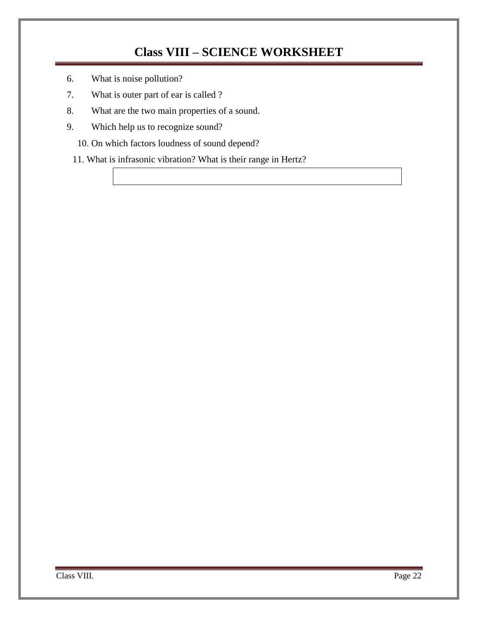- 6. What is noise pollution?
- 7. What is outer part of ear is called ?
- 8. What are the two main properties of a sound.
- 9. Which help us to recognize sound?

10. On which factors loudness of sound depend?

11. What is infrasonic vibration? What is their range in Hertz?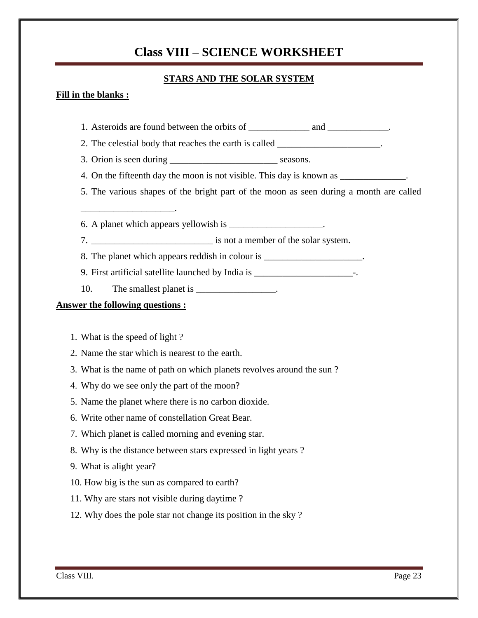### **STARS AND THE SOLAR SYSTEM**

### **Fill in the blanks :**

- 1. Asteroids are found between the orbits of \_\_\_\_\_\_\_\_\_\_\_\_ and \_\_\_\_\_\_\_\_\_\_\_\_.
- 2. The celestial body that reaches the earth is called  $\blacksquare$
- 3. Orion is seen during seasons.
- 4. On the fifteenth day the moon is not visible. This day is known as
- 5. The various shapes of the bright part of the moon as seen during a month are called
- 6. A planet which appears yellowish is
- 7. \_\_\_\_\_\_\_\_\_\_\_\_\_\_\_\_\_\_\_\_\_\_\_\_\_\_ is not a member of the solar system.
- 8. The planet which appears reddish in colour is \_\_\_\_\_\_\_\_\_\_\_\_\_\_\_\_\_\_\_\_.
- 9. First artificial satellite launched by India is \_\_\_\_\_\_\_\_\_\_\_\_\_\_\_\_\_\_\_\_\_\_\_\_\_\_\_\_\_-
- 10. The smallest planet is \_\_\_\_\_\_\_\_\_\_\_\_\_\_.

### **Answer the following questions :**

1. What is the speed of light ?

\_\_\_\_\_\_\_\_\_\_\_\_\_\_\_\_\_\_\_\_.

- 2. Name the star which is nearest to the earth.
- 3. What is the name of path on which planets revolves around the sun ?
- 4. Why do we see only the part of the moon?
- 5. Name the planet where there is no carbon dioxide.
- 6. Write other name of constellation Great Bear.
- 7. Which planet is called morning and evening star.
- 8. Why is the distance between stars expressed in light years ?
- 9. What is alight year?
- 10. How big is the sun as compared to earth?
- 11. Why are stars not visible during daytime ?
- 12. Why does the pole star not change its position in the sky ?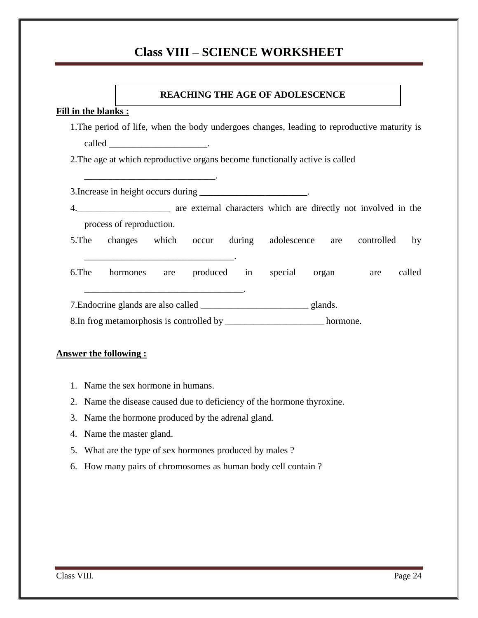#### **Fill in the blanks :**

1.The period of life, when the body undergoes changes, leading to reproductive maturity is called \_\_\_\_\_\_\_\_\_\_\_\_\_\_\_\_\_\_\_\_\_.

2.The age at which reproductive organs become functionally active is called

3.Increase in height occurs during \_\_\_\_\_\_\_\_\_\_\_\_\_\_\_\_\_\_\_\_\_\_\_.

\_\_\_\_\_\_\_\_\_\_\_\_\_\_\_\_\_\_\_\_\_\_\_\_\_\_\_\_.

\_\_\_\_\_\_\_\_\_\_\_\_\_\_\_\_\_\_\_\_\_\_\_\_\_\_\_\_\_\_\_\_.

\_\_\_\_\_\_\_\_\_\_\_\_\_\_\_\_\_\_\_\_\_\_\_\_\_\_\_\_\_\_\_\_\_\_.

- 4.\_\_\_\_\_\_\_\_\_\_\_\_\_\_\_\_\_\_\_\_ are external characters which are directly not involved in the process of reproduction.
- 5.The changes which occur during adolescence are controlled by

6.The hormones are produced in special organ are called

7.Endocrine glands are also called \_\_\_\_\_\_\_\_\_\_\_\_\_\_\_\_\_\_\_\_\_\_\_ glands.

8.In frog metamorphosis is controlled by \_\_\_\_\_\_\_\_\_\_\_\_\_\_\_\_\_\_\_\_\_\_\_\_\_\_ hormone.

### **Answer the following :**

- 1. Name the sex hormone in humans.
- 2. Name the disease caused due to deficiency of the hormone thyroxine.
- 3. Name the hormone produced by the adrenal gland.
- 4. Name the master gland.
- 5. What are the type of sex hormones produced by males ?
- 6. How many pairs of chromosomes as human body cell contain ?